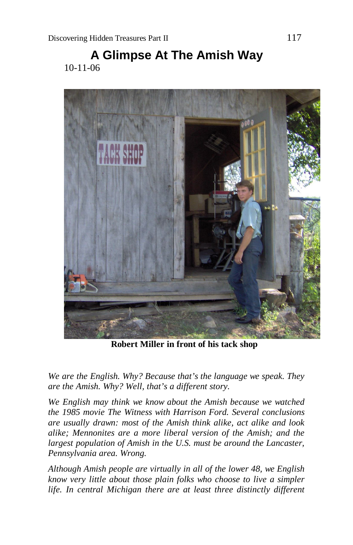# **A Glimpse At The Amish Way** 10-11-06



**Robert Miller in front of his tack shop**

*We are the English. Why? Because that's the language we speak. They are the Amish. Why? Well, that's a different story.*

*We English may think we know about the Amish because we watched the 1985 movie The Witness with Harrison Ford. Several conclusions are usually drawn: most of the Amish think alike, act alike and look alike; Mennonites are a more liberal version of the Amish; and the largest population of Amish in the U.S. must be around the Lancaster, Pennsylvania area. Wrong.*

*Although Amish people are virtually in all of the lower 48, we English know very little about those plain folks who choose to live a simpler life. In central Michigan there are at least three distinctly different*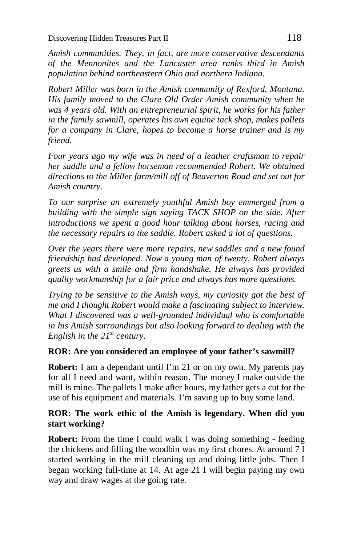*Amish communities. They, in fact, are more conservative descendants of the Mennonites and the Lancaster area ranks third in Amish population behind northeastern Ohio and northern Indiana.*

*Robert Miller was born in the Amish community of Rexford, Montana. His family moved to the Clare Old Order Amish community when he was 4 years old. With an entrepreneurial spirit, he works for his father in the family sawmill, operates his own equine tack shop, makes pallets for a company in Clare, hopes to become a horse trainer and is my friend.*

*Four years ago my wife was in need of a leather craftsman to repair her saddle and a fellow horseman recommended Robert. We obtained directions to the Miller farm/mill off of Beaverton Road and set out for Amish country.*

*To our surprise an extremely youthful Amish boy emmerged from a building with the simple sign saying TACK SHOP on the side. After introductions we spent a good hour talking about horses, racing and the necessary repairs to the saddle. Robert asked a lot of questions.*

*Over the years there were more repairs, new saddles and a new found friendship had developed. Now a young man of twenty, Robert always greets us with a smile and firm handshake. He always has provided quality workmanship for a fair price and always has more questions.*

*Trying to be sensitive to the Amish ways, my curiosity got the best of me and I thought Robert would make a fascinating subject to interview. What I discovered was a well-grounded individual who is comfortable in his Amish surroundings but also looking forward to dealing with the English in the 21st century.*

#### **ROR: Are you considered an employee of your father's sawmill?**

**Robert:** I am a dependant until I'm 21 or on my own. My parents pay for all I need and want, within reason. The money I make outside the mill is mine. The pallets I make after hours, my father gets a cut for the use of his equipment and materials. I'm saving up to buy some land.

#### **ROR: The work ethic of the Amish is legendary. When did you start working?**

**Robert:** From the time I could walk I was doing something - feeding the chickens and filling the woodbin was my first chores. At around 7 I started working in the mill cleaning up and doing little jobs. Then I began working full-time at 14. At age 21 I will begin paying my own way and draw wages at the going rate.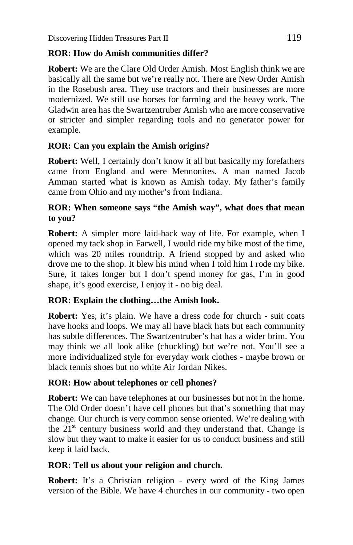#### **ROR: How do Amish communities differ?**

**Robert:** We are the Clare Old Order Amish. Most English think we are basically all the same but we're really not. There are New Order Amish in the Rosebush area. They use tractors and their businesses are more modernized. We still use horses for farming and the heavy work. The Gladwin area has the Swartzentruber Amish who are more conservative or stricter and simpler regarding tools and no generator power for example.

# **ROR: Can you explain the Amish origins?**

**Robert:** Well, I certainly don't know it all but basically my forefathers came from England and were Mennonites. A man named Jacob Amman started what is known as Amish today. My father's family came from Ohio and my mother's from Indiana.

#### **ROR: When someone says "the Amish way", what does that mean to you?**

**Robert:** A simpler more laid-back way of life. For example, when I opened my tack shop in Farwell, I would ride my bike most of the time, which was 20 miles roundtrip. A friend stopped by and asked who drove me to the shop. It blew his mind when I told him I rode my bike. Sure, it takes longer but I don't spend money for gas, I'm in good shape, it's good exercise, I enjoy it - no big deal.

# **ROR: Explain the clothing…the Amish look.**

**Robert:** Yes, it's plain. We have a dress code for church - suit coats have hooks and loops. We may all have black hats but each community has subtle differences. The Swartzentruber's hat has a wider brim. You may think we all look alike (chuckling) but we're not. You'll see a more individualized style for everyday work clothes - maybe brown or black tennis shoes but no white Air Jordan Nikes.

# **ROR: How about telephones or cell phones?**

**Robert:** We can have telephones at our businesses but not in the home. The Old Order doesn't have cell phones but that's something that may change. Our church is very common sense oriented. We're dealing with the  $21<sup>st</sup>$  century business world and they understand that. Change is slow but they want to make it easier for us to conduct business and still keep it laid back.

# **ROR: Tell us about your religion and church.**

**Robert:** It's a Christian religion - every word of the King James version of the Bible. We have 4 churches in our community - two open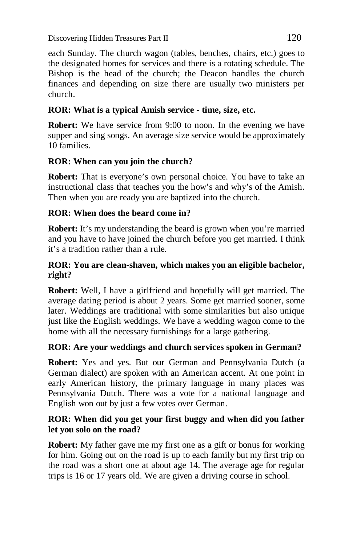each Sunday. The church wagon (tables, benches, chairs, etc.) goes to the designated homes for services and there is a rotating schedule. The Bishop is the head of the church; the Deacon handles the church finances and depending on size there are usually two ministers per church.

# **ROR: What is a typical Amish service - time, size, etc.**

**Robert:** We have service from 9:00 to noon. In the evening we have supper and sing songs. An average size service would be approximately 10 families.

# **ROR: When can you join the church?**

**Robert:** That is everyone's own personal choice. You have to take an instructional class that teaches you the how's and why's of the Amish. Then when you are ready you are baptized into the church.

# **ROR: When does the beard come in?**

**Robert:** It's my understanding the beard is grown when you're married and you have to have joined the church before you get married. I think it's a tradition rather than a rule.

# **ROR: You are clean-shaven, which makes you an eligible bachelor, right?**

**Robert:** Well, I have a girlfriend and hopefully will get married. The average dating period is about 2 years. Some get married sooner, some later. Weddings are traditional with some similarities but also unique just like the English weddings. We have a wedding wagon come to the home with all the necessary furnishings for a large gathering.

# **ROR: Are your weddings and church services spoken in German?**

**Robert:** Yes and yes. But our German and Pennsylvania Dutch (a German dialect) are spoken with an American accent. At one point in early American history, the primary language in many places was Pennsylvania Dutch. There was a vote for a national language and English won out by just a few votes over German.

#### **ROR: When did you get your first buggy and when did you father let you solo on the road?**

**Robert:** My father gave me my first one as a gift or bonus for working for him. Going out on the road is up to each family but my first trip on the road was a short one at about age 14. The average age for regular trips is 16 or 17 years old. We are given a driving course in school.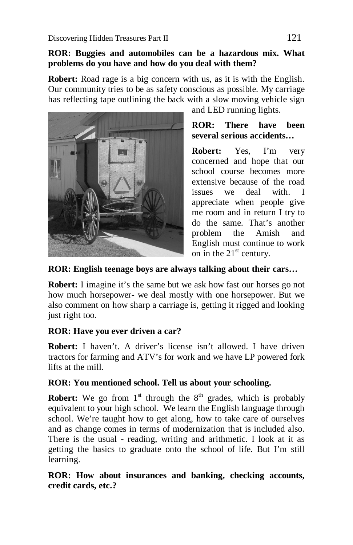#### **ROR: Buggies and automobiles can be a hazardous mix. What problems do you have and how do you deal with them?**

**Robert:** Road rage is a big concern with us, as it is with the English. Our community tries to be as safety conscious as possible. My carriage has reflecting tape outlining the back with a slow moving vehicle sign



and LED running lights.

**ROR: There have been several serious accidents…**

**Robert:** Yes, I'm very concerned and hope that our school course becomes more extensive because of the road issues we deal with. I appreciate when people give me room and in return I try to do the same. That's another problem the Amish and English must continue to work on in the  $21<sup>st</sup>$  century.

# **ROR: English teenage boys are always talking about their cars…**

**Robert:** I imagine it's the same but we ask how fast our horses go not how much horsepower- we deal mostly with one horsepower. But we also comment on how sharp a carriage is, getting it rigged and looking just right too.

# **ROR: Have you ever driven a car?**

**Robert:** I haven't. A driver's license isn't allowed. I have driven tractors for farming and ATV's for work and we have LP powered fork lifts at the mill.

# **ROR: You mentioned school. Tell us about your schooling.**

**Robert:** We go from  $1<sup>st</sup>$  through the  $8<sup>th</sup>$  grades, which is probably equivalent to your high school. We learn the English language through school. We're taught how to get along, how to take care of ourselves and as change comes in terms of modernization that is included also. There is the usual - reading, writing and arithmetic. I look at it as getting the basics to graduate onto the school of life. But I'm still learning.

**ROR: How about insurances and banking, checking accounts, credit cards, etc.?**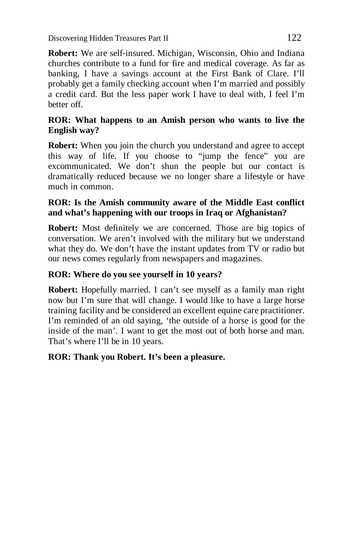Discovering Hidden Treasures Part II 122

**Robert:** We are self-insured. Michigan, Wisconsin, Ohio and Indiana churches contribute to a fund for fire and medical coverage. As far as banking, I have a savings account at the First Bank of Clare. I'll probably get a family checking account when I'm married and possibly a credit card. But the less paper work I have to deal with, I feel I'm better off.

#### **ROR: What happens to an Amish person who wants to live the English way?**

**Robert:** When you join the church you understand and agree to accept this way of life. If you choose to "jump the fence" you are excommunicated. We don't shun the people but our contact is dramatically reduced because we no longer share a lifestyle or have much in common.

# **ROR: Is the Amish community aware of the Middle East conflict and what's happening with our troops in Iraq or Afghanistan?**

**Robert:** Most definitely we are concerned. Those are big topics of conversation. We aren't involved with the military but we understand what they do. We don't have the instant updates from TV or radio but our news comes regularly from newspapers and magazines.

# **ROR: Where do you see yourself in 10 years?**

**Robert:** Hopefully married. I can't see myself as a family man right now but I'm sure that will change. I would like to have a large horse training facility and be considered an excellent equine care practitioner. I'm reminded of an old saying, 'the outside of a horse is good for the inside of the man'. I want to get the most out of both horse and man. That's where I'll be in 10 years.

# **ROR: Thank you Robert. It's been a pleasure.**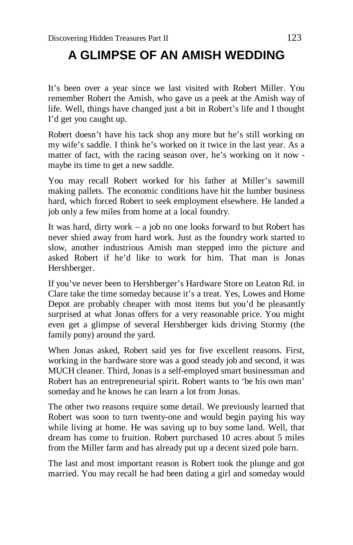# **A GLIMPSE OF AN AMISH WEDDING**

It's been over a year since we last visited with Robert Miller. You remember Robert the Amish, who gave us a peek at the Amish way of life. Well, things have changed just a bit in Robert's life and I thought I'd get you caught up.

Robert doesn't have his tack shop any more but he's still working on my wife's saddle. I think he's worked on it twice in the last year. As a matter of fact, with the racing season over, he's working on it now maybe its time to get a new saddle.

You may recall Robert worked for his father at Miller's sawmill making pallets. The economic conditions have hit the lumber business hard, which forced Robert to seek employment elsewhere. He landed a job only a few miles from home at a local foundry.

It was hard, dirty work – a job no one looks forward to but Robert has never shied away from hard work. Just as the foundry work started to slow, another industrious Amish man stepped into the picture and asked Robert if he'd like to work for him. That man is Jonas Hershberger.

If you've never been to Hershberger's Hardware Store on Leaton Rd. in Clare take the time someday because it's a treat. Yes, Lowes and Home Depot are probably cheaper with most items but you'd be pleasantly surprised at what Jonas offers for a very reasonable price. You might even get a glimpse of several Hershberger kids driving Stormy (the family pony) around the yard.

When Jonas asked, Robert said yes for five excellent reasons. First, working in the hardware store was a good steady job and second, it was MUCH cleaner. Third, Jonas is a self-employed smart businessman and Robert has an entrepreneurial spirit. Robert wants to 'be his own man' someday and he knows he can learn a lot from Jonas.

The other two reasons require some detail. We previously learned that Robert was soon to turn twenty-one and would begin paying his way while living at home. He was saving up to buy some land. Well, that dream has come to fruition. Robert purchased 10 acres about 5 miles from the Miller farm and has already put up a decent sized pole barn.

The last and most important reason is Robert took the plunge and got married. You may recall he had been dating a girl and someday would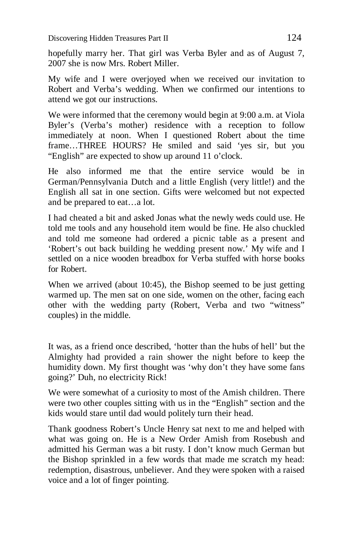hopefully marry her. That girl was Verba Byler and as of August 7, 2007 she is now Mrs. Robert Miller.

My wife and I were overjoyed when we received our invitation to Robert and Verba's wedding. When we confirmed our intentions to attend we got our instructions.

We were informed that the ceremony would begin at 9:00 a.m. at Viola Byler's (Verba's mother) residence with a reception to follow immediately at noon. When I questioned Robert about the time frame…THREE HOURS? He smiled and said 'yes sir, but you "English" are expected to show up around 11 o'clock.

He also informed me that the entire service would be in German/Pennsylvania Dutch and a little English (very little!) and the English all sat in one section. Gifts were welcomed but not expected and be prepared to eat…a lot.

I had cheated a bit and asked Jonas what the newly weds could use. He told me tools and any household item would be fine. He also chuckled and told me someone had ordered a picnic table as a present and 'Robert's out back building he wedding present now.' My wife and I settled on a nice wooden breadbox for Verba stuffed with horse books for Robert.

When we arrived (about 10:45), the Bishop seemed to be just getting warmed up. The men sat on one side, women on the other, facing each other with the wedding party (Robert, Verba and two "witness" couples) in the middle.

It was, as a friend once described, 'hotter than the hubs of hell' but the Almighty had provided a rain shower the night before to keep the humidity down. My first thought was 'why don't they have some fans going?' Duh, no electricity Rick!

We were somewhat of a curiosity to most of the Amish children. There were two other couples sitting with us in the "English" section and the kids would stare until dad would politely turn their head.

Thank goodness Robert's Uncle Henry sat next to me and helped with what was going on. He is a New Order Amish from Rosebush and admitted his German was a bit rusty. I don't know much German but the Bishop sprinkled in a few words that made me scratch my head: redemption, disastrous, unbeliever. And they were spoken with a raised voice and a lot of finger pointing.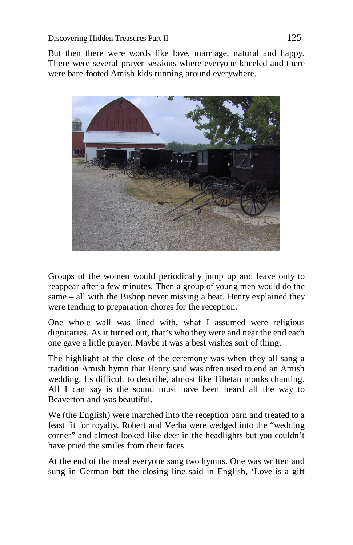But then there were words like love, marriage, natural and happy. There were several prayer sessions where everyone kneeled and there were bare-footed Amish kids running around everywhere.



Groups of the women would periodically jump up and leave only to reappear after a few minutes. Then a group of young men would do the same – all with the Bishop never missing a beat. Henry explained they were tending to preparation chores for the reception.

One whole wall was lined with, what I assumed were religious dignitaries. As it turned out, that's who they were and near the end each one gave a little prayer. Maybe it was a best wishes sort of thing.

The highlight at the close of the ceremony was when they all sang a tradition Amish hymn that Henry said was often used to end an Amish wedding. Its difficult to describe, almost like Tibetan monks chanting. All I can say is the sound must have been heard all the way to Beaverton and was beautiful.

We (the English) were marched into the reception barn and treated to a feast fit for royalty. Robert and Verba were wedged into the "wedding corner" and almost looked like deer in the headlights but you couldn't have pried the smiles from their faces.

At the end of the meal everyone sang two hymns. One was written and sung in German but the closing line said in English, 'Love is a gift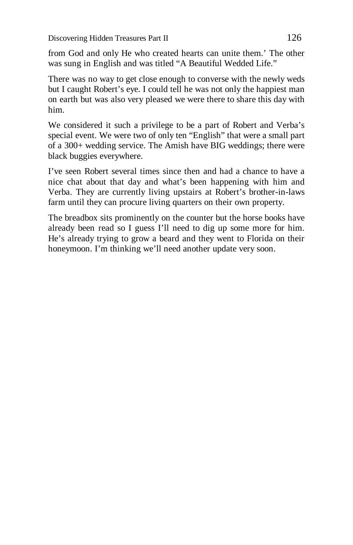from God and only He who created hearts can unite them.' The other was sung in English and was titled "A Beautiful Wedded Life."

There was no way to get close enough to converse with the newly weds but I caught Robert's eye. I could tell he was not only the happiest man on earth but was also very pleased we were there to share this day with him.

We considered it such a privilege to be a part of Robert and Verba's special event. We were two of only ten "English" that were a small part of a 300+ wedding service. The Amish have BIG weddings; there were black buggies everywhere.

I've seen Robert several times since then and had a chance to have a nice chat about that day and what's been happening with him and Verba. They are currently living upstairs at Robert's brother-in-laws farm until they can procure living quarters on their own property.

The breadbox sits prominently on the counter but the horse books have already been read so I guess I'll need to dig up some more for him. He's already trying to grow a beard and they went to Florida on their honeymoon. I'm thinking we'll need another update very soon.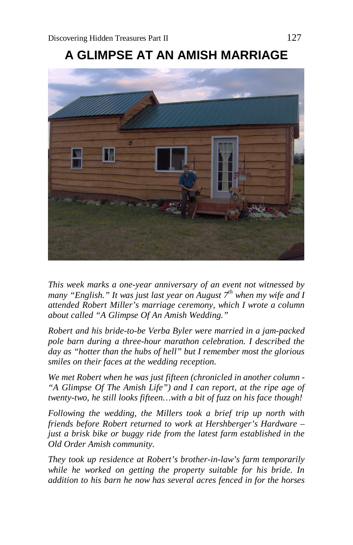

**A GLIMPSE AT AN AMISH MARRIAGE**

*This week marks a one-year anniversary of an event not witnessed by many "English." It was just last year on August 7th when my wife and I attended Robert Miller's marriage ceremony, which I wrote a column about called "A Glimpse Of An Amish Wedding."*

*Robert and his bride-to-be Verba Byler were married in a jam-packed pole barn during a three-hour marathon celebration. I described the day as "hotter than the hubs of hell" but I remember most the glorious smiles on their faces at the wedding reception.*

*We met Robert when he was just fifteen (chronicled in another column - "A Glimpse Of The Amish Life") and I can report, at the ripe age of twenty-two, he still looks fifteen…with a bit of fuzz on his face though!* 

*Following the wedding, the Millers took a brief trip up north with friends before Robert returned to work at Hershberger's Hardware – just a brisk bike or buggy ride from the latest farm established in the Old Order Amish community.*

*They took up residence at Robert's brother-in-law's farm temporarily while he worked on getting the property suitable for his bride. In addition to his barn he now has several acres fenced in for the horses*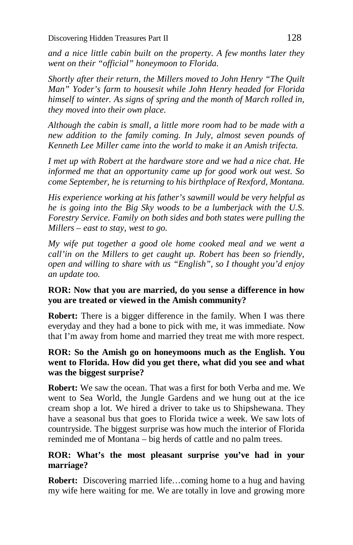*and a nice little cabin built on the property. A few months later they went on their "official" honeymoon to Florida.*

*Shortly after their return, the Millers moved to John Henry "The Quilt Man" Yoder's farm to housesit while John Henry headed for Florida himself to winter. As signs of spring and the month of March rolled in, they moved into their own place.*

*Although the cabin is small, a little more room had to be made with a new addition to the family coming. In July, almost seven pounds of Kenneth Lee Miller came into the world to make it an Amish trifecta.*

*I met up with Robert at the hardware store and we had a nice chat. He informed me that an opportunity came up for good work out west. So come September, he is returning to his birthplace of Rexford, Montana.*

*His experience working at his father's sawmill would be very helpful as he is going into the Big Sky woods to be a lumberjack with the U.S. Forestry Service. Family on both sides and both states were pulling the Millers – east to stay, west to go.*

*My wife put together a good ole home cooked meal and we went a call'in on the Millers to get caught up. Robert has been so friendly, open and willing to share with us "English", so I thought you'd enjoy an update too.*

#### **ROR: Now that you are married, do you sense a difference in how you are treated or viewed in the Amish community?**

**Robert:** There is a bigger difference in the family. When I was there everyday and they had a bone to pick with me, it was immediate. Now that I'm away from home and married they treat me with more respect.

#### **ROR: So the Amish go on honeymoons much as the English. You went to Florida. How did you get there, what did you see and what was the biggest surprise?**

**Robert:** We saw the ocean. That was a first for both Verba and me. We went to Sea World, the Jungle Gardens and we hung out at the ice cream shop a lot. We hired a driver to take us to Shipshewana. They have a seasonal bus that goes to Florida twice a week. We saw lots of countryside. The biggest surprise was how much the interior of Florida reminded me of Montana – big herds of cattle and no palm trees.

#### **ROR: What's the most pleasant surprise you've had in your marriage?**

**Robert:** Discovering married life…coming home to a hug and having my wife here waiting for me. We are totally in love and growing more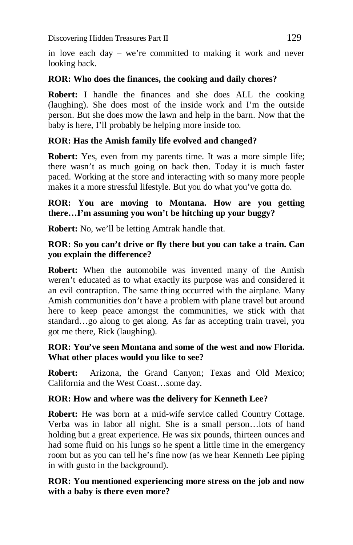in love each day – we're committed to making it work and never looking back.

#### **ROR: Who does the finances, the cooking and daily chores?**

**Robert:** I handle the finances and she does ALL the cooking (laughing). She does most of the inside work and I'm the outside person. But she does mow the lawn and help in the barn. Now that the baby is here, I'll probably be helping more inside too.

# **ROR: Has the Amish family life evolved and changed?**

**Robert:** Yes, even from my parents time. It was a more simple life; there wasn't as much going on back then. Today it is much faster paced. Working at the store and interacting with so many more people makes it a more stressful lifestyle. But you do what you've gotta do.

# **ROR: You are moving to Montana. How are you getting there…I'm assuming you won't be hitching up your buggy?**

**Robert:** No, we'll be letting Amtrak handle that.

# **ROR: So you can't drive or fly there but you can take a train. Can you explain the difference?**

**Robert:** When the automobile was invented many of the Amish weren't educated as to what exactly its purpose was and considered it an evil contraption. The same thing occurred with the airplane. Many Amish communities don't have a problem with plane travel but around here to keep peace amongst the communities, we stick with that standard…go along to get along. As far as accepting train travel, you got me there, Rick (laughing).

# **ROR: You've seen Montana and some of the west and now Florida. What other places would you like to see?**

**Robert:** Arizona, the Grand Canyon; Texas and Old Mexico; California and the West Coast…some day.

# **ROR: How and where was the delivery for Kenneth Lee?**

**Robert:** He was born at a mid-wife service called Country Cottage. Verba was in labor all night. She is a small person…lots of hand holding but a great experience. He was six pounds, thirteen ounces and had some fluid on his lungs so he spent a little time in the emergency room but as you can tell he's fine now (as we hear Kenneth Lee piping in with gusto in the background).

#### **ROR: You mentioned experiencing more stress on the job and now with a baby is there even more?**